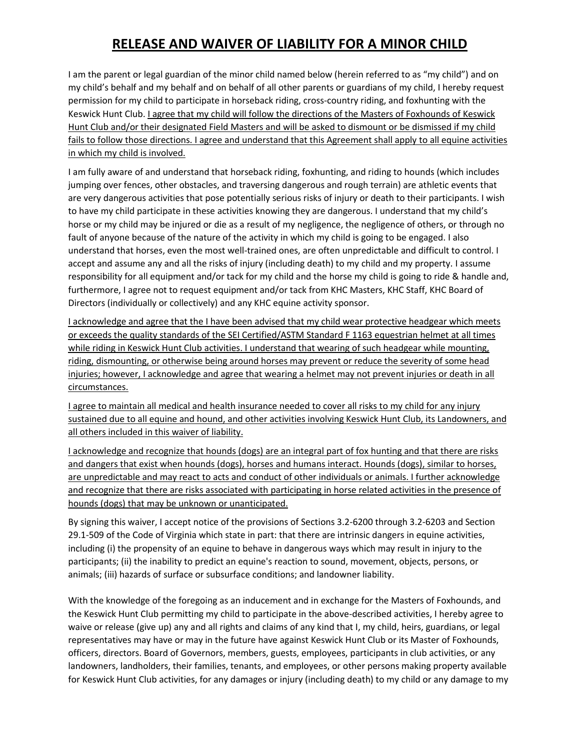## **RELEASE AND WAIVER OF LIABILITY FOR A MINOR CHILD**

I am the parent or legal guardian of the minor child named below (herein referred to as "my child") and on my child's behalf and my behalf and on behalf of all other parents or guardians of my child, I hereby request permission for my child to participate in horseback riding, cross-country riding, and foxhunting with the Keswick Hunt Club. I agree that my child will follow the directions of the Masters of Foxhounds of Keswick Hunt Club and/or their designated Field Masters and will be asked to dismount or be dismissed if my child fails to follow those directions. I agree and understand that this Agreement shall apply to all equine activities in which my child is involved.

I am fully aware of and understand that horseback riding, foxhunting, and riding to hounds (which includes jumping over fences, other obstacles, and traversing dangerous and rough terrain) are athletic events that are very dangerous activities that pose potentially serious risks of injury or death to their participants. I wish to have my child participate in these activities knowing they are dangerous. I understand that my child's horse or my child may be injured or die as a result of my negligence, the negligence of others, or through no fault of anyone because of the nature of the activity in which my child is going to be engaged. I also understand that horses, even the most well-trained ones, are often unpredictable and difficult to control. I accept and assume any and all the risks of injury (including death) to my child and my property. I assume responsibility for all equipment and/or tack for my child and the horse my child is going to ride & handle and, furthermore, I agree not to request equipment and/or tack from KHC Masters, KHC Staff, KHC Board of Directors (individually or collectively) and any KHC equine activity sponsor.

I acknowledge and agree that the I have been advised that my child wear protective headgear which meets or exceeds the quality standards of the SEI Certified/ASTM Standard F 1163 equestrian helmet at all times while riding in Keswick Hunt Club activities. I understand that wearing of such headgear while mounting, riding, dismounting, or otherwise being around horses may prevent or reduce the severity of some head injuries; however, I acknowledge and agree that wearing a helmet may not prevent injuries or death in all circumstances.

I agree to maintain all medical and health insurance needed to cover all risks to my child for any injury sustained due to all equine and hound, and other activities involving Keswick Hunt Club, its Landowners, and all others included in this waiver of liability.

I acknowledge and recognize that hounds (dogs) are an integral part of fox hunting and that there are risks and dangers that exist when hounds (dogs), horses and humans interact. Hounds (dogs), similar to horses, are unpredictable and may react to acts and conduct of other individuals or animals. I further acknowledge and recognize that there are risks associated with participating in horse related activities in the presence of hounds (dogs) that may be unknown or unanticipated.

By signing this waiver, I accept notice of the provisions of Sections 3.2-6200 through 3.2-6203 and Section 29.1-509 of the Code of Virginia which state in part: that there are intrinsic dangers in equine activities, including (i) the propensity of an equine to behave in dangerous ways which may result in injury to the participants; (ii) the inability to predict an equine's reaction to sound, movement, objects, persons, or animals; (iii) hazards of surface or subsurface conditions; and landowner liability.

With the knowledge of the foregoing as an inducement and in exchange for the Masters of Foxhounds, and the Keswick Hunt Club permitting my child to participate in the above-described activities, I hereby agree to waive or release (give up) any and all rights and claims of any kind that I, my child, heirs, guardians, or legal representatives may have or may in the future have against Keswick Hunt Club or its Master of Foxhounds, officers, directors. Board of Governors, members, guests, employees, participants in club activities, or any landowners, landholders, their families, tenants, and employees, or other persons making property available for Keswick Hunt Club activities, for any damages or injury (including death) to my child or any damage to my